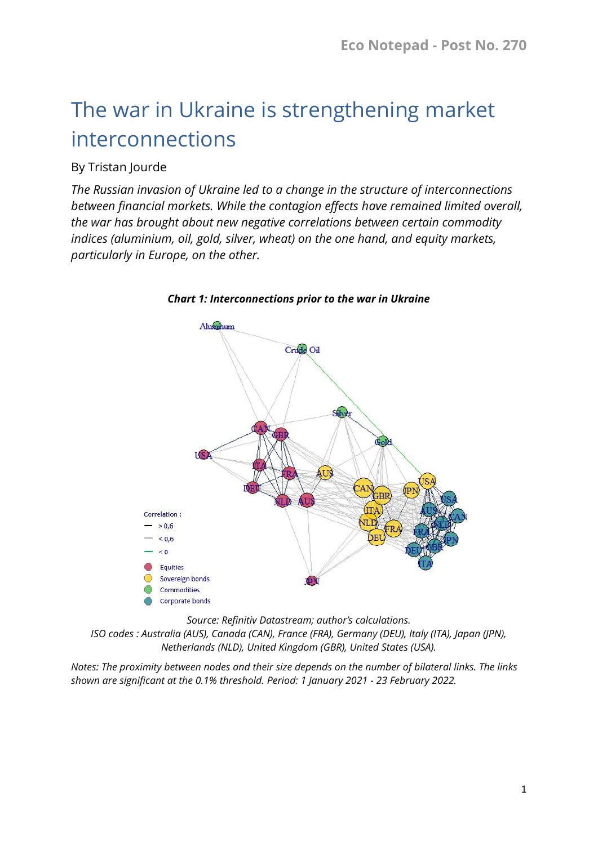# The war in Ukraine is strengthening market interconnections

### By Tristan Jourde

*The Russian invasion of Ukraine led to a change in the structure of interconnections between financial markets. While the contagion effects have remained limited overall, the war has brought about new negative correlations between certain commodity indices (aluminium, oil, gold, silver, wheat) on the one hand, and equity markets, particularly in Europe, on the other.*



*Chart 1: Interconnections prior to the war in Ukraine*

*Source: Refinitiv Datastream; author's calculations.* 

*ISO codes : Australia (AUS), Canada (CAN), France (FRA), Germany (DEU), Italy (ITA), Japan (JPN), Netherlands (NLD), United Kingdom (GBR), United States (USA).*

*Notes: The proximity between nodes and their size depends on the number of bilateral links. The links shown are significant at the 0.1% threshold. Period: 1 January 2021 - 23 February 2022.*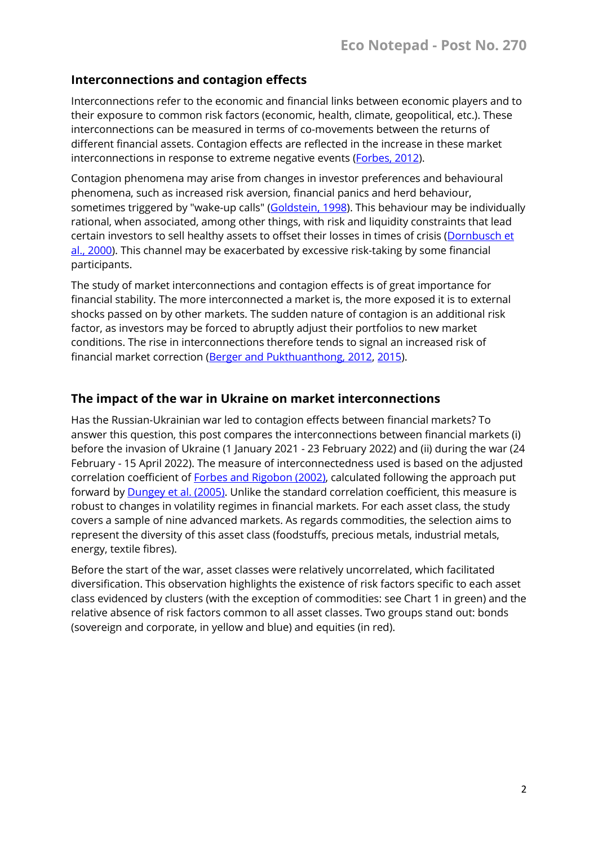#### **Interconnections and contagion effects**

Interconnections refer to the economic and financial links between economic players and to their exposure to common risk factors (economic, health, climate, geopolitical, etc.). These interconnections can be measured in terms of co-movements between the returns of different financial assets. Contagion effects are reflected in the increase in these market interconnections in response to extreme negative events [\(Forbes, 2012\)](https://www.nber.org/papers/w18465).

Contagion phenomena may arise from changes in investor preferences and behavioural phenomena, such as increased risk aversion, financial panics and herd behaviour, sometimes triggered by "wake-up calls" [\(Goldstein, 1998\)](https://cup.columbia.edu/book/a/9780881322613). This behaviour may be individually rational, when associated, among other things, with risk and liquidity constraints that lead certain investors to sell healthy assets to offset their losses in times of crisis [\(Dornbusch et](https://www.jstor.org/stable/3986415)  [al., 2000\)](https://www.jstor.org/stable/3986415). This channel may be exacerbated by excessive risk-taking by some financial participants.

The study of market interconnections and contagion effects is of great importance for financial stability. The more interconnected a market is, the more exposed it is to external shocks passed on by other markets. The sudden nature of contagion is an additional risk factor, as investors may be forced to abruptly adjust their portfolios to new market conditions. The rise in interconnections therefore tends to signal an increased risk of financial market correction (Berger and [Pukthuanthong, 2012,](https://www.sciencedirect.com/science/article/pii/S0304405X12000463) [2015\)](https://www.sciencedirect.com/science/article/pii/S0378426615003039).

#### **The impact of the war in Ukraine on market interconnections**

Has the Russian-Ukrainian war led to contagion effects between financial markets? To answer this question, this post compares the interconnections between financial markets (i) before the invasion of Ukraine (1 January 2021 - 23 February 2022) and (ii) during the war (24 February - 15 April 2022). The measure of interconnectedness used is based on the adjusted correlation coefficient of Forbes and [Rigobon \(2002\),](https://onlinelibrary.wiley.com/doi/full/10.1111/0022-1082.00494) calculated following the approach put forward by [Dungey et al. \(2005\).](https://www.imf.org/external/pubs/ft/wp/2004/wp0478.pdf) Unlike the standard correlation coefficient, this measure is robust to changes in volatility regimes in financial markets. For each asset class, the study covers a sample of nine advanced markets. As regards commodities, the selection aims to represent the diversity of this asset class (foodstuffs, precious metals, industrial metals, energy, textile fibres).

Before the start of the war, asset classes were relatively uncorrelated, which facilitated diversification. This observation highlights the existence of risk factors specific to each asset class evidenced by clusters (with the exception of commodities: see Chart 1 in green) and the relative absence of risk factors common to all asset classes. Two groups stand out: bonds (sovereign and corporate, in yellow and blue) and equities (in red).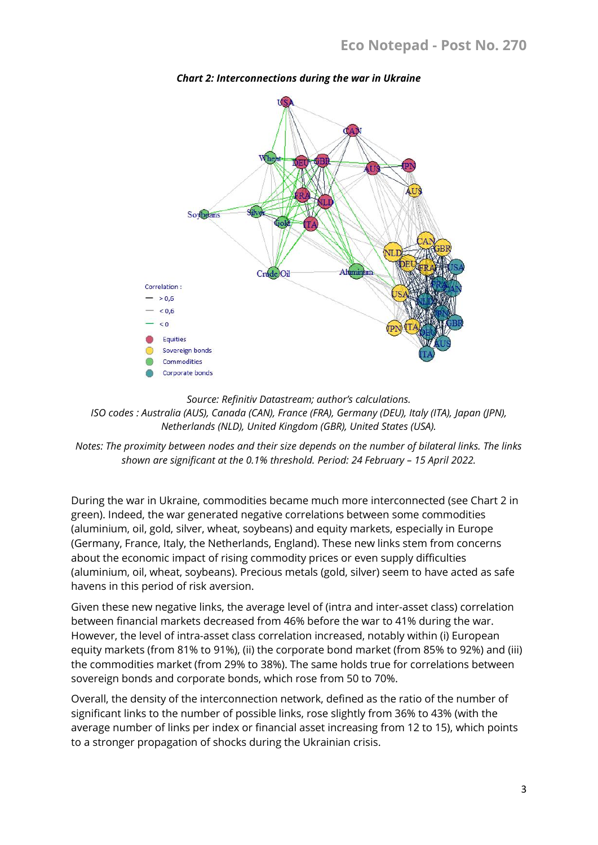

*Chart 2: Interconnections during the war in Ukraine*

*Source: Refinitiv Datastream; author's calculations. ISO codes : Australia (AUS), Canada (CAN), France (FRA), Germany (DEU), Italy (ITA), Japan (JPN), Netherlands (NLD), United Kingdom (GBR), United States (USA).*

*Notes: The proximity between nodes and their size depends on the number of bilateral links. The links shown are significant at the 0.1% threshold. Period: 24 February – 15 April 2022.*

During the war in Ukraine, commodities became much more interconnected (see Chart 2 in green). Indeed, the war generated negative correlations between some commodities (aluminium, oil, gold, silver, wheat, soybeans) and equity markets, especially in Europe (Germany, France, Italy, the Netherlands, England). These new links stem from concerns about the economic impact of rising commodity prices or even supply difficulties (aluminium, oil, wheat, soybeans). Precious metals (gold, silver) seem to have acted as safe havens in this period of risk aversion.

Given these new negative links, the average level of (intra and inter-asset class) correlation between financial markets decreased from 46% before the war to 41% during the war. However, the level of intra-asset class correlation increased, notably within (i) European equity markets (from 81% to 91%), (ii) the corporate bond market (from 85% to 92%) and (iii) the commodities market (from 29% to 38%). The same holds true for correlations between sovereign bonds and corporate bonds, which rose from 50 to 70%.

Overall, the density of the interconnection network, defined as the ratio of the number of significant links to the number of possible links, rose slightly from 36% to 43% (with the average number of links per index or financial asset increasing from 12 to 15), which points to a stronger propagation of shocks during the Ukrainian crisis.